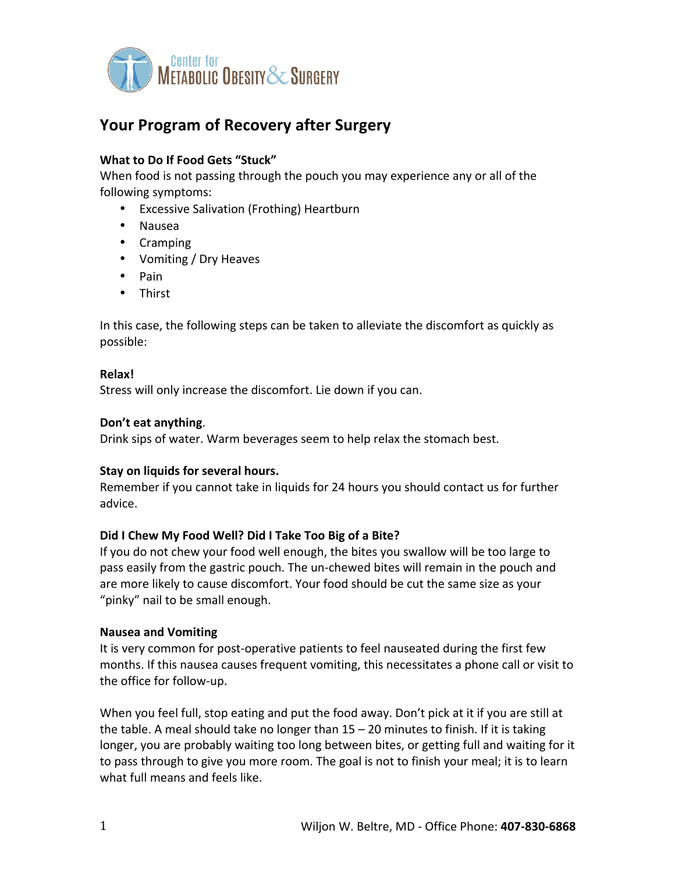

# Your Program of Recovery after Surgery

## **What to Do If Food Gets "Stuck"**

When food is not passing through the pouch you may experience any or all of the following symptoms:

- Excessive Salivation (Frothing) Heartburn
- Nausea
- Cramping
- Vomiting / Dry Heaves
- Pain
- Thirst

In this case, the following steps can be taken to alleviate the discomfort as quickly as possible:

### **Relax!**

Stress will only increase the discomfort. Lie down if you can.

### **Don't eat anything**.

Drink sips of water. Warm beverages seem to help relax the stomach best.

### **Stay on liquids for several hours.**

Remember if you cannot take in liquids for 24 hours you should contact us for further advice.

### Did I Chew My Food Well? Did I Take Too Big of a Bite?

If you do not chew your food well enough, the bites you swallow will be too large to pass easily from the gastric pouch. The un-chewed bites will remain in the pouch and are more likely to cause discomfort. Your food should be cut the same size as your "pinky" nail to be small enough.

### **Nausea and Vomiting**

It is very common for post-operative patients to feel nauseated during the first few months. If this nausea causes frequent vomiting, this necessitates a phone call or visit to the office for follow-up.

When you feel full, stop eating and put the food away. Don't pick at it if you are still at the table. A meal should take no longer than  $15 - 20$  minutes to finish. If it is taking longer, you are probably waiting too long between bites, or getting full and waiting for it to pass through to give you more room. The goal is not to finish your meal; it is to learn what full means and feels like.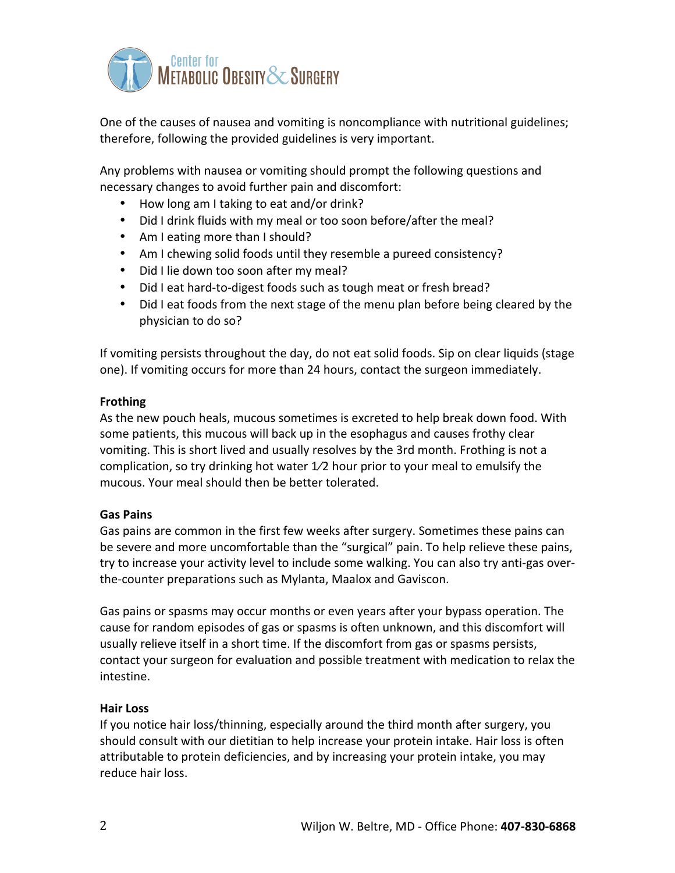

One of the causes of nausea and vomiting is noncompliance with nutritional guidelines; therefore, following the provided guidelines is very important.

Any problems with nausea or vomiting should prompt the following questions and necessary changes to avoid further pain and discomfort:

- How long am I taking to eat and/or drink?
- Did I drink fluids with my meal or too soon before/after the meal?
- Am I eating more than I should?
- Am I chewing solid foods until they resemble a pureed consistency?
- Did I lie down too soon after my meal?
- Did I eat hard-to-digest foods such as tough meat or fresh bread?
- Did I eat foods from the next stage of the menu plan before being cleared by the physician to do so?

If vomiting persists throughout the day, do not eat solid foods. Sip on clear liquids (stage one). If vomiting occurs for more than 24 hours, contact the surgeon immediately.

## **Frothing**

As the new pouch heals, mucous sometimes is excreted to help break down food. With some patients, this mucous will back up in the esophagus and causes frothy clear vomiting. This is short lived and usually resolves by the 3rd month. Frothing is not a complication, so try drinking hot water  $1/2$  hour prior to your meal to emulsify the mucous. Your meal should then be better tolerated.

## **Gas Pains**

Gas pains are common in the first few weeks after surgery. Sometimes these pains can be severe and more uncomfortable than the "surgical" pain. To help relieve these pains, try to increase your activity level to include some walking. You can also try anti-gas overthe-counter preparations such as Mylanta, Maalox and Gaviscon.

Gas pains or spasms may occur months or even years after your bypass operation. The cause for random episodes of gas or spasms is often unknown, and this discomfort will usually relieve itself in a short time. If the discomfort from gas or spasms persists, contact your surgeon for evaluation and possible treatment with medication to relax the intestine.

## **Hair Loss**

If you notice hair loss/thinning, especially around the third month after surgery, you should consult with our dietitian to help increase your protein intake. Hair loss is often attributable to protein deficiencies, and by increasing your protein intake, you may reduce hair loss.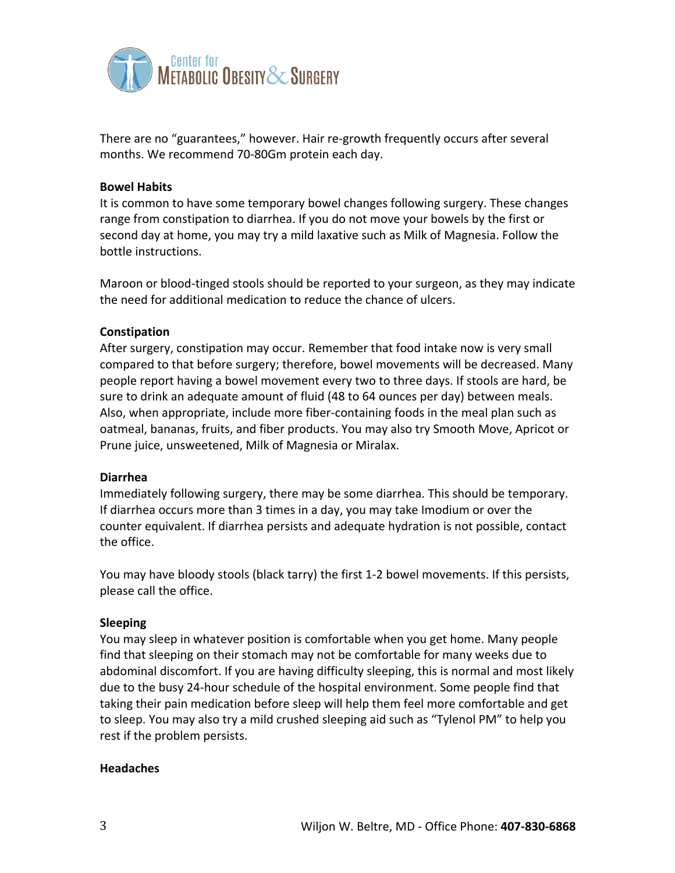

There are no "guarantees," however. Hair re-growth frequently occurs after several months. We recommend 70-80Gm protein each day.

### **Bowel Habits**

It is common to have some temporary bowel changes following surgery. These changes range from constipation to diarrhea. If you do not move your bowels by the first or second day at home, you may try a mild laxative such as Milk of Magnesia. Follow the bottle instructions.

Maroon or blood-tinged stools should be reported to your surgeon, as they may indicate the need for additional medication to reduce the chance of ulcers.

### **Constipation**

After surgery, constipation may occur. Remember that food intake now is very small compared to that before surgery; therefore, bowel movements will be decreased. Many people report having a bowel movement every two to three days. If stools are hard, be sure to drink an adequate amount of fluid (48 to 64 ounces per day) between meals. Also, when appropriate, include more fiber-containing foods in the meal plan such as oatmeal, bananas, fruits, and fiber products. You may also try Smooth Move, Apricot or Prune juice, unsweetened, Milk of Magnesia or Miralax.

#### **Diarrhea**

Immediately following surgery, there may be some diarrhea. This should be temporary. If diarrhea occurs more than 3 times in a day, you may take Imodium or over the counter equivalent. If diarrhea persists and adequate hydration is not possible, contact the office.

You may have bloody stools (black tarry) the first 1-2 bowel movements. If this persists, please call the office.

#### **Sleeping**

You may sleep in whatever position is comfortable when you get home. Many people find that sleeping on their stomach may not be comfortable for many weeks due to abdominal discomfort. If you are having difficulty sleeping, this is normal and most likely due to the busy 24-hour schedule of the hospital environment. Some people find that taking their pain medication before sleep will help them feel more comfortable and get to sleep. You may also try a mild crushed sleeping aid such as "Tylenol PM" to help you rest if the problem persists.

#### **Headaches**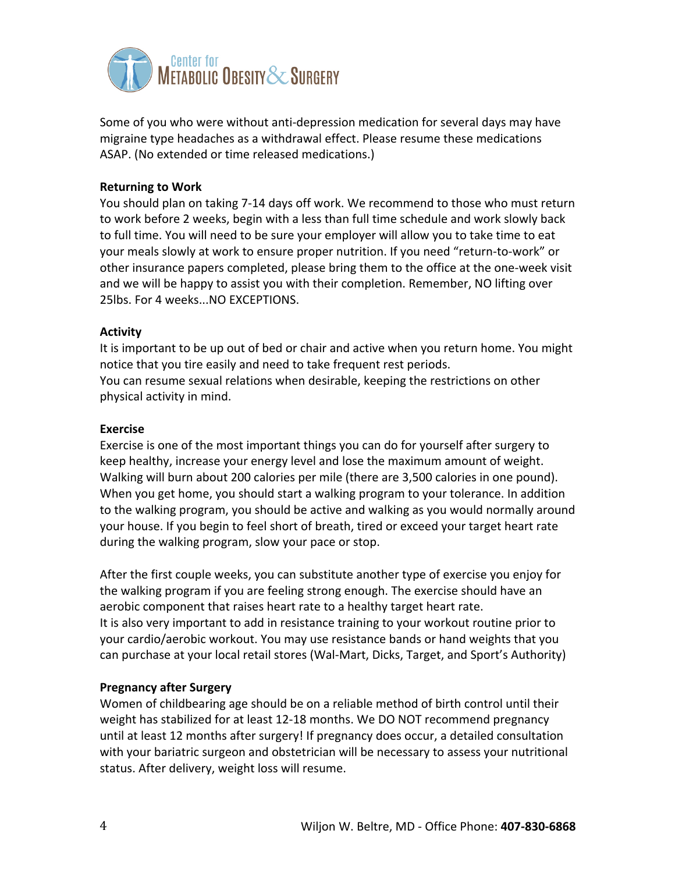

Some of you who were without anti-depression medication for several days may have migraine type headaches as a withdrawal effect. Please resume these medications ASAP. (No extended or time released medications.)

## **Returning to Work**

You should plan on taking 7-14 days off work. We recommend to those who must return to work before 2 weeks, begin with a less than full time schedule and work slowly back to full time. You will need to be sure your employer will allow you to take time to eat your meals slowly at work to ensure proper nutrition. If you need "return-to-work" or other insurance papers completed, please bring them to the office at the one-week visit and we will be happy to assist you with their completion. Remember, NO lifting over 25lbs. For 4 weeks...NO EXCEPTIONS.

## **Activity**

It is important to be up out of bed or chair and active when you return home. You might notice that you tire easily and need to take frequent rest periods. You can resume sexual relations when desirable, keeping the restrictions on other physical activity in mind.

## **Exercise**

Exercise is one of the most important things you can do for yourself after surgery to keep healthy, increase your energy level and lose the maximum amount of weight. Walking will burn about 200 calories per mile (there are 3,500 calories in one pound). When you get home, you should start a walking program to your tolerance. In addition to the walking program, you should be active and walking as you would normally around your house. If you begin to feel short of breath, tired or exceed your target heart rate during the walking program, slow your pace or stop.

After the first couple weeks, you can substitute another type of exercise you enjoy for the walking program if you are feeling strong enough. The exercise should have an aerobic component that raises heart rate to a healthy target heart rate. It is also very important to add in resistance training to your workout routine prior to your cardio/aerobic workout. You may use resistance bands or hand weights that you can purchase at your local retail stores (Wal-Mart, Dicks, Target, and Sport's Authority)

## **Pregnancy after Surgery**

Women of childbearing age should be on a reliable method of birth control until their weight has stabilized for at least 12-18 months. We DO NOT recommend pregnancy until at least 12 months after surgery! If pregnancy does occur, a detailed consultation with your bariatric surgeon and obstetrician will be necessary to assess your nutritional status. After delivery, weight loss will resume.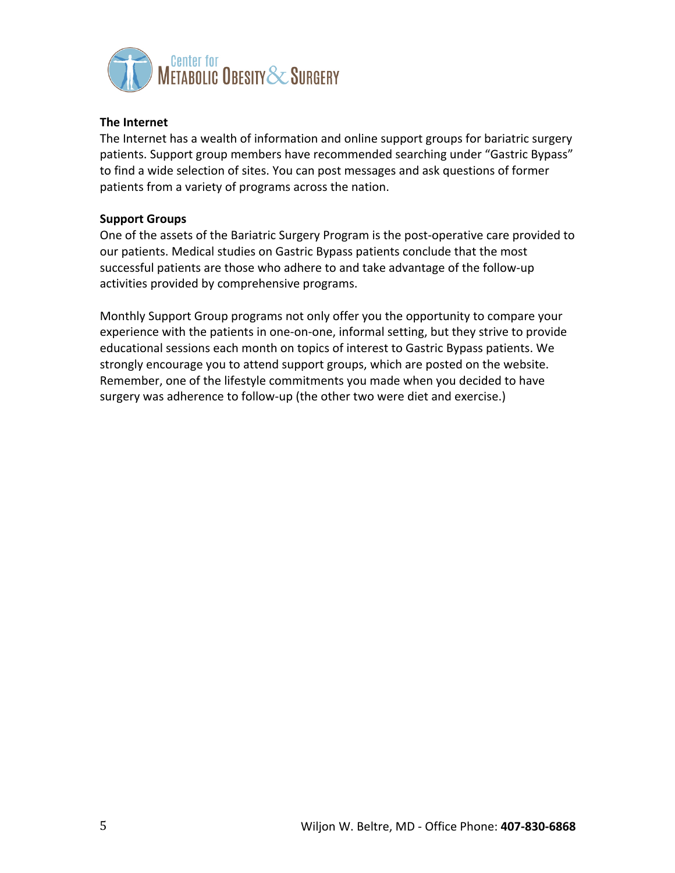

## **The Internet**

The Internet has a wealth of information and online support groups for bariatric surgery patients. Support group members have recommended searching under "Gastric Bypass" to find a wide selection of sites. You can post messages and ask questions of former patients from a variety of programs across the nation.

### **Support Groups**

One of the assets of the Bariatric Surgery Program is the post-operative care provided to our patients. Medical studies on Gastric Bypass patients conclude that the most successful patients are those who adhere to and take advantage of the follow-up activities provided by comprehensive programs.

Monthly Support Group programs not only offer you the opportunity to compare your experience with the patients in one-on-one, informal setting, but they strive to provide educational sessions each month on topics of interest to Gastric Bypass patients. We strongly encourage you to attend support groups, which are posted on the website. Remember, one of the lifestyle commitments you made when you decided to have surgery was adherence to follow-up (the other two were diet and exercise.)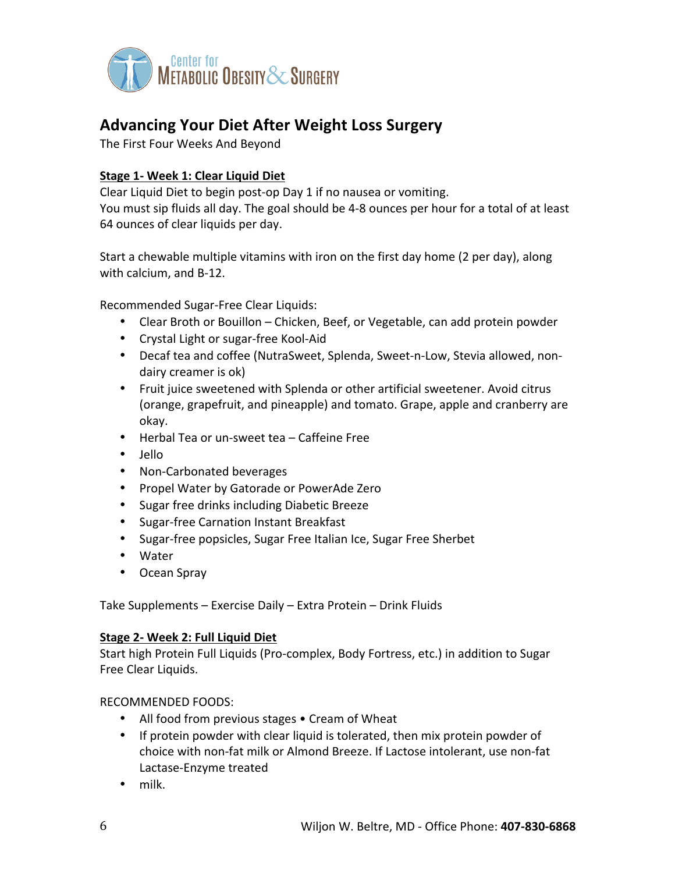

## **Advancing Your Diet After Weight Loss Surgery**

The First Four Weeks And Beyond

## **Stage 1- Week 1: Clear Liquid Diet**

Clear Liquid Diet to begin post-op Day 1 if no nausea or vomiting. You must sip fluids all day. The goal should be 4-8 ounces per hour for a total of at least 64 ounces of clear liquids per day.

Start a chewable multiple vitamins with iron on the first day home (2 per day), along with calcium, and B-12.

Recommended Sugar-Free Clear Liquids:

- Clear Broth or Bouillon Chicken, Beef, or Vegetable, can add protein powder
- Crystal Light or sugar-free Kool-Aid
- Decaf tea and coffee (NutraSweet, Splenda, Sweet-n-Low, Stevia allowed, nondairy creamer is ok)
- Fruit juice sweetened with Splenda or other artificial sweetener. Avoid citrus (orange, grapefruit, and pineapple) and tomato. Grape, apple and cranberry are okay.
- Herbal Tea or un-sweet tea Caffeine Free
- Jello
- Non-Carbonated beverages
- Propel Water by Gatorade or PowerAde Zero
- Sugar free drinks including Diabetic Breeze
- Sugar-free Carnation Instant Breakfast
- Sugar-free popsicles, Sugar Free Italian Ice, Sugar Free Sherbet
- Water
- Ocean Spray

Take Supplements – Exercise Daily – Extra Protein – Drink Fluids

### **Stage 2- Week 2: Full Liquid Diet**

Start high Protein Full Liquids (Pro-complex, Body Fortress, etc.) in addition to Sugar Free Clear Liquids.

RECOMMENDED FOODS:

- All food from previous stages Cream of Wheat
- If protein powder with clear liquid is tolerated, then mix protein powder of choice with non-fat milk or Almond Breeze. If Lactose intolerant, use non-fat Lactase-Enzyme treated
- milk.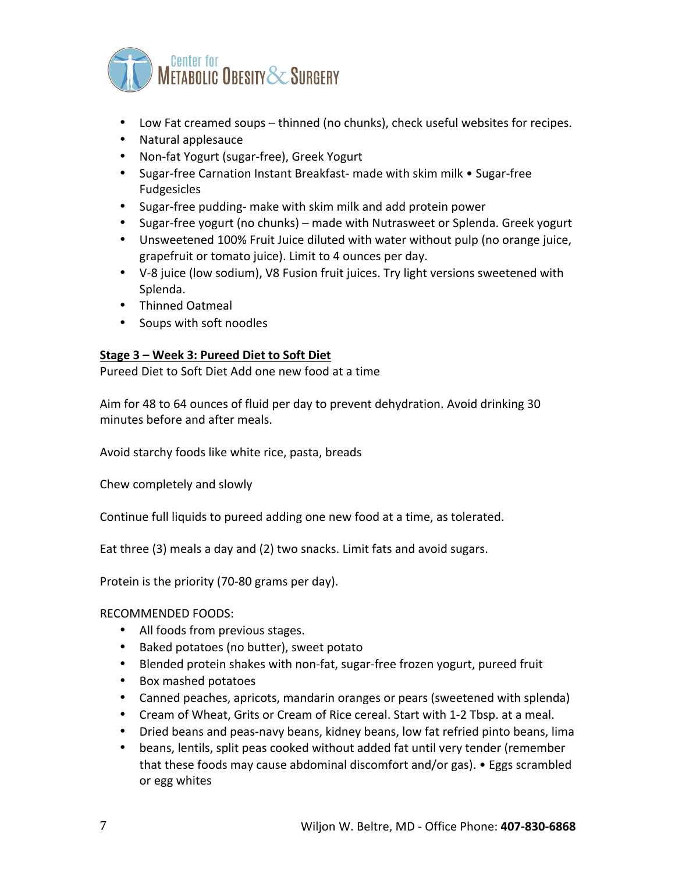

- Low Fat creamed soups thinned (no chunks), check useful websites for recipes.
- Natural applesauce
- Non-fat Yogurt (sugar-free), Greek Yogurt
- Sugar-free Carnation Instant Breakfast- made with skim milk Sugar-free Fudgesicles
- Sugar-free pudding- make with skim milk and add protein power
- Sugar-free yogurt (no chunks) made with Nutrasweet or Splenda. Greek yogurt
- Unsweetened 100% Fruit Juice diluted with water without pulp (no orange juice, grapefruit or tomato juice). Limit to 4 ounces per day.
- V-8 juice (low sodium), V8 Fusion fruit juices. Try light versions sweetened with Splenda.
- Thinned Oatmeal
- Soups with soft noodles

## **Stage 3 – Week 3: Pureed Diet to Soft Diet**

Pureed Diet to Soft Diet Add one new food at a time

Aim for 48 to 64 ounces of fluid per day to prevent dehydration. Avoid drinking 30 minutes before and after meals.

Avoid starchy foods like white rice, pasta, breads

Chew completely and slowly

Continue full liquids to pureed adding one new food at a time, as tolerated.

Eat three (3) meals a day and (2) two snacks. Limit fats and avoid sugars.

Protein is the priority (70-80 grams per day).

RECOMMENDED FOODS:

- All foods from previous stages.
- Baked potatoes (no butter), sweet potato
- Blended protein shakes with non-fat, sugar-free frozen yogurt, pureed fruit
- Box mashed potatoes
- Canned peaches, apricots, mandarin oranges or pears (sweetened with splenda)
- Cream of Wheat, Grits or Cream of Rice cereal. Start with 1-2 Tbsp. at a meal.
- Dried beans and peas-navy beans, kidney beans, low fat refried pinto beans, lima
- beans, lentils, split peas cooked without added fat until very tender (remember that these foods may cause abdominal discomfort and/or gas).  $\bullet$  Eggs scrambled or egg whites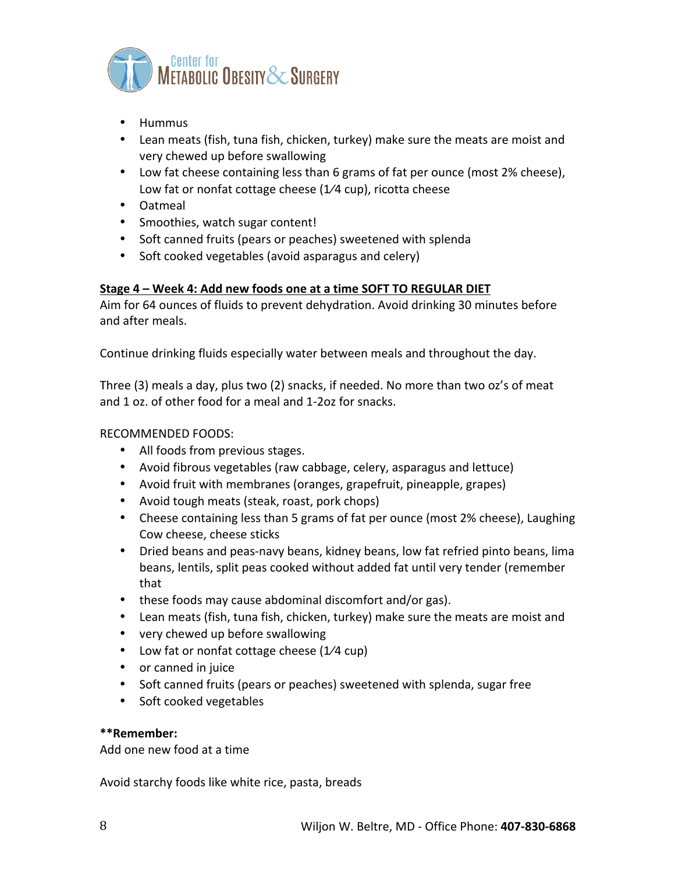

- Hummus
- Lean meats (fish, tuna fish, chicken, turkey) make sure the meats are moist and very chewed up before swallowing
- Low fat cheese containing less than 6 grams of fat per ounce (most 2% cheese), Low fat or nonfat cottage cheese ( $1/4$  cup), ricotta cheese
- Oatmeal
- Smoothies, watch sugar content!
- Soft canned fruits (pears or peaches) sweetened with splenda
- Soft cooked vegetables (avoid asparagus and celery)

## **Stage 4 – Week 4: Add new foods one at a time SOFT TO REGULAR DIET**

Aim for 64 ounces of fluids to prevent dehydration. Avoid drinking 30 minutes before and after meals.

Continue drinking fluids especially water between meals and throughout the day.

Three (3) meals a day, plus two (2) snacks, if needed. No more than two oz's of meat and 1 oz. of other food for a meal and 1-2oz for snacks.

## RECOMMENDED FOODS:

- All foods from previous stages.
- Avoid fibrous vegetables (raw cabbage, celery, asparagus and lettuce)
- Avoid fruit with membranes (oranges, grapefruit, pineapple, grapes)
- Avoid tough meats (steak, roast, pork chops)
- Cheese containing less than 5 grams of fat per ounce (most 2% cheese), Laughing Cow cheese, cheese sticks
- Dried beans and peas-navy beans, kidney beans, low fat refried pinto beans, lima beans, lentils, split peas cooked without added fat until very tender (remember that
- these foods may cause abdominal discomfort and/or gas).
- Lean meats (fish, tuna fish, chicken, turkey) make sure the meats are moist and
- very chewed up before swallowing
- Low fat or nonfat cottage cheese  $(1/4 \text{ cup})$
- or canned in juice
- Soft canned fruits (pears or peaches) sweetened with splenda, sugar free
- Soft cooked vegetables

### **\*\*Remember:**

Add one new food at a time

Avoid starchy foods like white rice, pasta, breads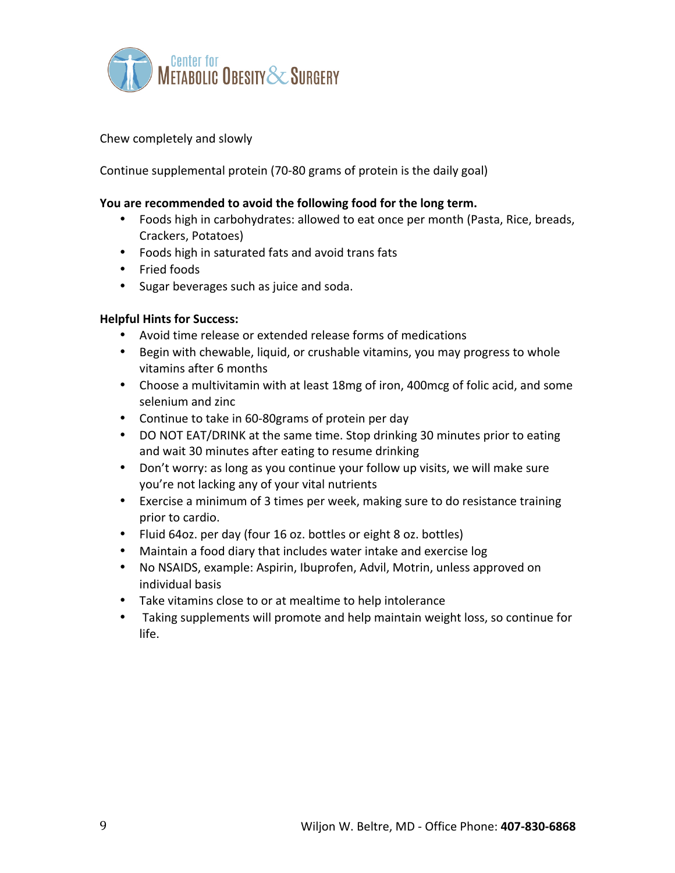

## Chew completely and slowly

Continue supplemental protein (70-80 grams of protein is the daily goal)

### **You are recommended to avoid the following food for the long term.**

- Foods high in carbohydrates: allowed to eat once per month (Pasta, Rice, breads, Crackers, Potatoes)
- Foods high in saturated fats and avoid trans fats
- Fried foods
- Sugar beverages such as juice and soda.

### **Helpful Hints for Success:**

- Avoid time release or extended release forms of medications
- Begin with chewable, liquid, or crushable vitamins, you may progress to whole vitamins after 6 months
- Choose a multivitamin with at least 18mg of iron, 400mcg of folic acid, and some selenium and zinc
- Continue to take in 60-80grams of protein per day
- DO NOT EAT/DRINK at the same time. Stop drinking 30 minutes prior to eating and wait 30 minutes after eating to resume drinking
- Don't worry: as long as you continue your follow up visits, we will make sure you're not lacking any of your vital nutrients
- Exercise a minimum of 3 times per week, making sure to do resistance training prior to cardio.
- Fluid 64oz. per day (four 16 oz. bottles or eight 8 oz. bottles)
- Maintain a food diary that includes water intake and exercise log
- No NSAIDS, example: Aspirin, Ibuprofen, Advil, Motrin, unless approved on individual basis
- Take vitamins close to or at mealtime to help intolerance
- Taking supplements will promote and help maintain weight loss, so continue for life.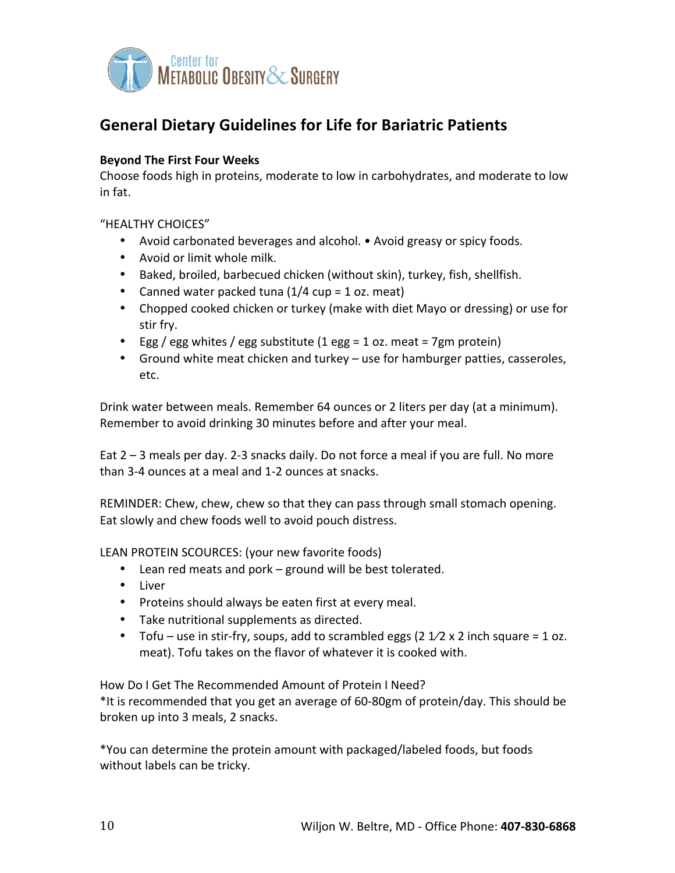

# **General Dietary Guidelines for Life for Bariatric Patients**

## **Beyond The First Four Weeks**

Choose foods high in proteins, moderate to low in carbohydrates, and moderate to low in fat.

## "HEALTHY CHOICES"

- Avoid carbonated beverages and alcohol. Avoid greasy or spicy foods.
- Avoid or limit whole milk.
- Baked, broiled, barbecued chicken (without skin), turkey, fish, shellfish.
- Canned water packed tuna  $(1/4 \text{ cup} = 1 \text{ oz. meat})$
- Chopped cooked chicken or turkey (make with diet Mayo or dressing) or use for stir fry.
- Egg / egg whites / egg substitute  $(1 \text{ egg} = 1 \text{ oz}$ . meat = 7gm protein)
- Ground white meat chicken and turkey use for hamburger patties, casseroles, etc.

Drink water between meals. Remember 64 ounces or 2 liters per day (at a minimum). Remember to avoid drinking 30 minutes before and after your meal.

Eat  $2 - 3$  meals per day. 2-3 snacks daily. Do not force a meal if you are full. No more than 3-4 ounces at a meal and 1-2 ounces at snacks.

REMINDER: Chew, chew, chew so that they can pass through small stomach opening. Eat slowly and chew foods well to avoid pouch distress.

LEAN PROTEIN SCOURCES: (your new favorite foods)

- Lean red meats and pork ground will be best tolerated.
- Liver
- Proteins should always be eaten first at every meal.
- Take nutritional supplements as directed.
- Tofu use in stir-fry, soups, add to scrambled eggs (2  $1/2 \times 2$  inch square = 1 oz. meat). Tofu takes on the flavor of whatever it is cooked with.

How Do I Get The Recommended Amount of Protein I Need? \*It is recommended that you get an average of 60-80gm of protein/day. This should be broken up into 3 meals, 2 snacks.

\*You can determine the protein amount with packaged/labeled foods, but foods without labels can be tricky.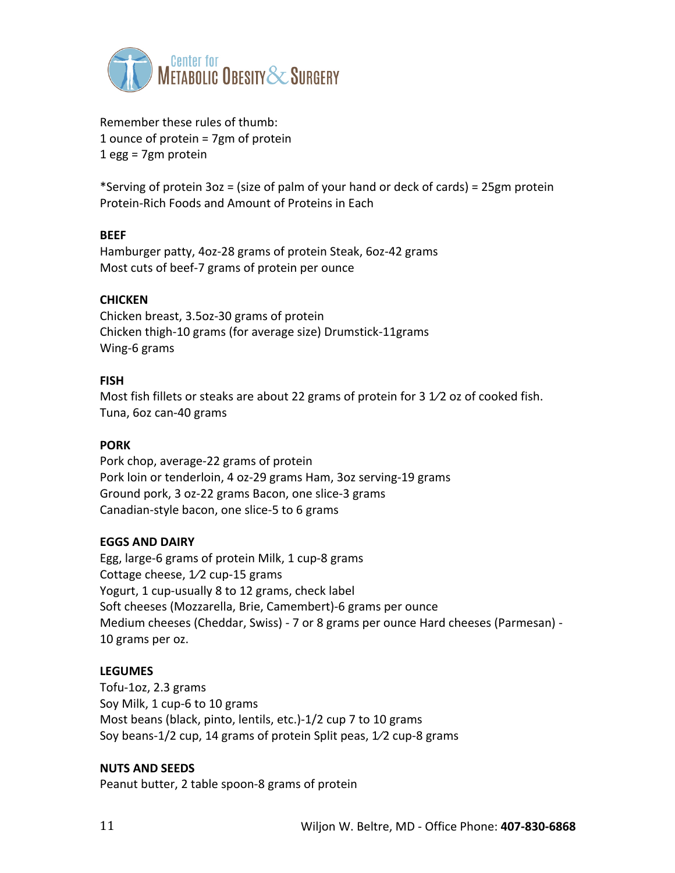

Remember these rules of thumb: 1 ounce of protein  $= 7gm$  of protein  $1$  egg = 7gm protein

\*Serving of protein  $3oz = (size of$  palm of your hand or deck of cards) = 25gm protein Protein-Rich Foods and Amount of Proteins in Each

## **BEEF**

Hamburger patty, 4oz-28 grams of protein Steak, 6oz-42 grams Most cuts of beef-7 grams of protein per ounce

## **CHICKEN**

Chicken breast, 3.5oz-30 grams of protein Chicken thigh-10 grams (for average size) Drumstick-11grams Wing-6 grams

## **FISH**

Most fish fillets or steaks are about 22 grams of protein for 3  $1/2$  oz of cooked fish. Tuna, 6oz can-40 grams

## **PORK**

Pork chop, average-22 grams of protein Pork loin or tenderloin, 4 oz-29 grams Ham, 3oz serving-19 grams Ground pork, 3 oz-22 grams Bacon, one slice-3 grams Canadian-style bacon, one slice-5 to 6 grams

### **EGGS AND DAIRY**

Egg, large-6 grams of protein Milk, 1 cup-8 grams Cottage cheese,  $1/2$  cup-15 grams Yogurt, 1 cup-usually 8 to 12 grams, check label Soft cheeses (Mozzarella, Brie, Camembert)-6 grams per ounce Medium cheeses (Cheddar, Swiss) - 7 or 8 grams per ounce Hard cheeses (Parmesan) -10 grams per oz.

### **LEGUMES**

Tofu-1oz, 2.3 grams Soy Milk, 1 cup-6 to 10 grams Most beans (black, pinto, lentils, etc.)-1/2 cup 7 to 10 grams Soy beans-1/2 cup, 14 grams of protein Split peas,  $1/2$  cup-8 grams

### **NUTS AND SEEDS**

Peanut butter, 2 table spoon-8 grams of protein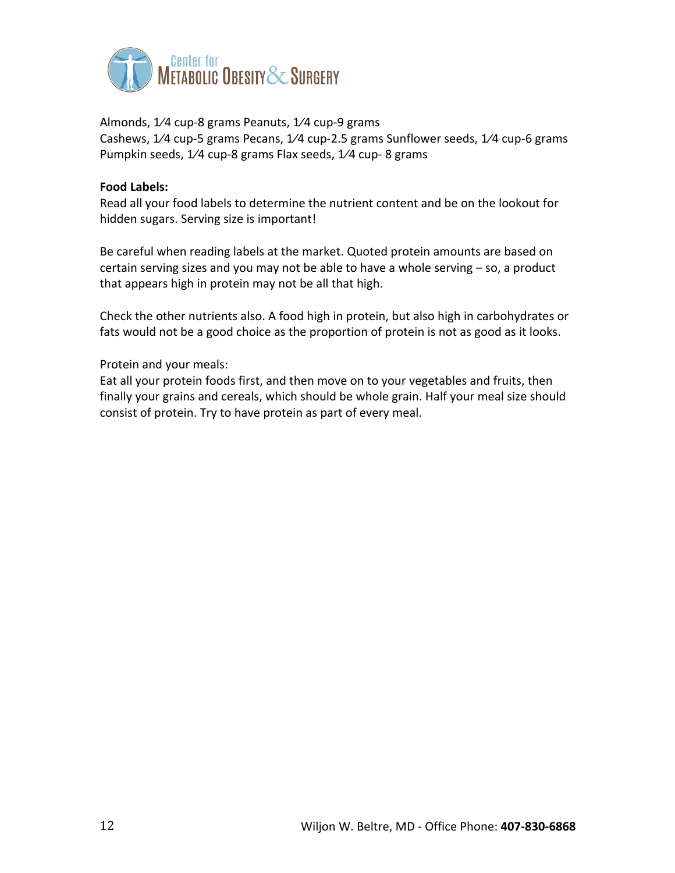

Almonds, 1/4 cup-8 grams Peanuts, 1/4 cup-9 grams Cashews, 1/4 cup-5 grams Pecans, 1/4 cup-2.5 grams Sunflower seeds, 1/4 cup-6 grams Pumpkin seeds, 1/4 cup-8 grams Flax seeds, 1/4 cup-8 grams

### **Food Labels:**

Read all your food labels to determine the nutrient content and be on the lookout for hidden sugars. Serving size is important!

Be careful when reading labels at the market. Quoted protein amounts are based on certain serving sizes and you may not be able to have a whole serving  $-$  so, a product that appears high in protein may not be all that high.

Check the other nutrients also. A food high in protein, but also high in carbohydrates or fats would not be a good choice as the proportion of protein is not as good as it looks.

## Protein and your meals:

Eat all your protein foods first, and then move on to your vegetables and fruits, then finally your grains and cereals, which should be whole grain. Half your meal size should consist of protein. Try to have protein as part of every meal.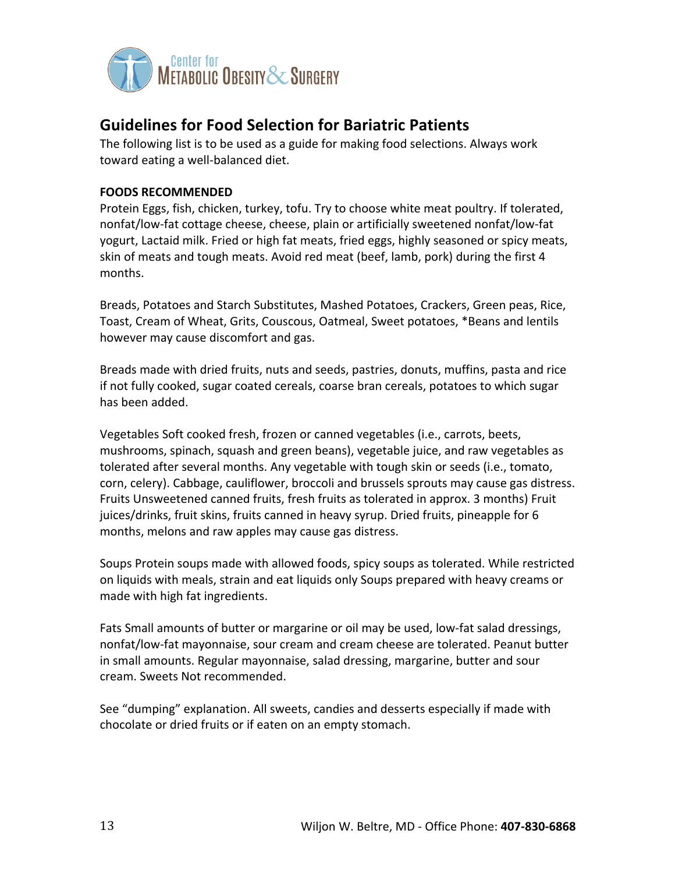

## **Guidelines for Food Selection for Bariatric Patients**

The following list is to be used as a guide for making food selections. Always work toward eating a well-balanced diet.

## **FOODS RECOMMENDED**

Protein Eggs, fish, chicken, turkey, tofu. Try to choose white meat poultry. If tolerated, nonfat/low-fat cottage cheese, cheese, plain or artificially sweetened nonfat/low-fat yogurt, Lactaid milk. Fried or high fat meats, fried eggs, highly seasoned or spicy meats, skin of meats and tough meats. Avoid red meat (beef, lamb, pork) during the first 4 months.

Breads, Potatoes and Starch Substitutes, Mashed Potatoes, Crackers, Green peas, Rice, Toast, Cream of Wheat, Grits, Couscous, Oatmeal, Sweet potatoes, \*Beans and lentils however may cause discomfort and gas.

Breads made with dried fruits, nuts and seeds, pastries, donuts, muffins, pasta and rice if not fully cooked, sugar coated cereals, coarse bran cereals, potatoes to which sugar has been added.

Vegetables Soft cooked fresh, frozen or canned vegetables (i.e., carrots, beets, mushrooms, spinach, squash and green beans), vegetable juice, and raw vegetables as tolerated after several months. Any vegetable with tough skin or seeds (i.e., tomato, corn, celery). Cabbage, cauliflower, broccoli and brussels sprouts may cause gas distress. Fruits Unsweetened canned fruits, fresh fruits as tolerated in approx. 3 months) Fruit juices/drinks, fruit skins, fruits canned in heavy syrup. Dried fruits, pineapple for 6 months, melons and raw apples may cause gas distress.

Soups Protein soups made with allowed foods, spicy soups as tolerated. While restricted on liquids with meals, strain and eat liquids only Soups prepared with heavy creams or made with high fat ingredients.

Fats Small amounts of butter or margarine or oil may be used, low-fat salad dressings, nonfat/low-fat mayonnaise, sour cream and cream cheese are tolerated. Peanut butter in small amounts. Regular mayonnaise, salad dressing, margarine, butter and sour cream. Sweets Not recommended.

See "dumping" explanation. All sweets, candies and desserts especially if made with chocolate or dried fruits or if eaten on an empty stomach.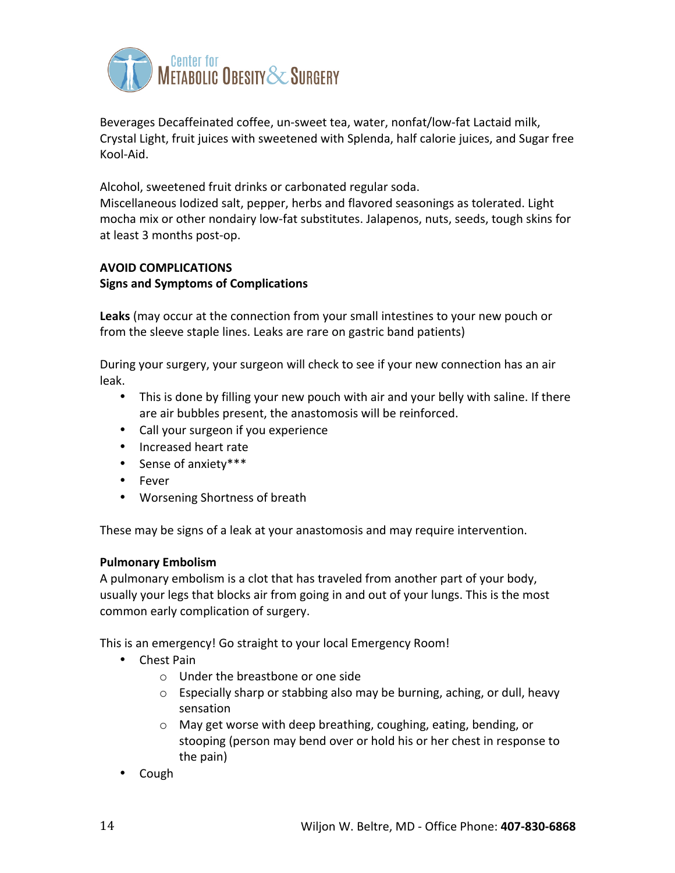

Beverages Decaffeinated coffee, un-sweet tea, water, nonfat/low-fat Lactaid milk, Crystal Light, fruit juices with sweetened with Splenda, half calorie juices, and Sugar free Kool-Aid.

Alcohol, sweetened fruit drinks or carbonated regular soda.

Miscellaneous lodized salt, pepper, herbs and flavored seasonings as tolerated. Light mocha mix or other nondairy low-fat substitutes. Jalapenos, nuts, seeds, tough skins for at least 3 months post-op.

## **AVOID COMPLICATIONS**

## **Signs and Symptoms of Complications**

Leaks (may occur at the connection from your small intestines to your new pouch or from the sleeve staple lines. Leaks are rare on gastric band patients)

During your surgery, your surgeon will check to see if your new connection has an air leak.

- This is done by filling your new pouch with air and your belly with saline. If there are air bubbles present, the anastomosis will be reinforced.
- Call your surgeon if you experience
- Increased heart rate
- Sense of anxiety\*\*\*
- Fever
- Worsening Shortness of breath

These may be signs of a leak at your anastomosis and may require intervention.

## **Pulmonary Embolism**

A pulmonary embolism is a clot that has traveled from another part of your body, usually your legs that blocks air from going in and out of your lungs. This is the most common early complication of surgery.

This is an emergency! Go straight to your local Emergency Room!

- Chest Pain
	- $\circ$  Under the breastbone or one side
	- $\circ$  Especially sharp or stabbing also may be burning, aching, or dull, heavy sensation
	- $\circ$  May get worse with deep breathing, coughing, eating, bending, or stooping (person may bend over or hold his or her chest in response to the pain)
- Cough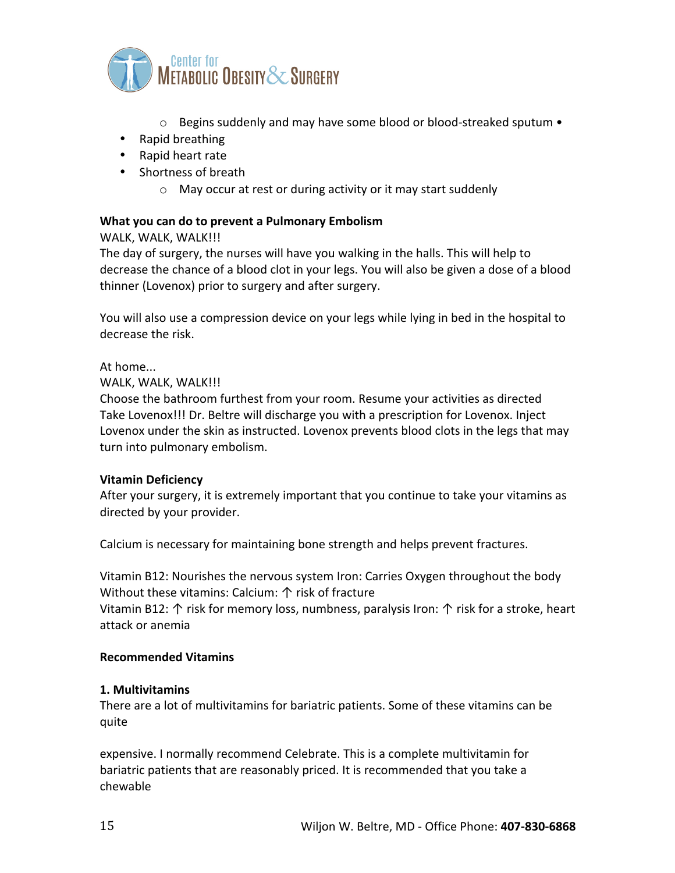

- $\circ$  Begins suddenly and may have some blood or blood-streaked sputum  $\bullet$
- Rapid breathing
- Rapid heart rate
- Shortness of breath
	- $\circ$  May occur at rest or during activity or it may start suddenly

## **What you can do to prevent a Pulmonary Embolism**

WALK, WALK, WALK!!!

The day of surgery, the nurses will have you walking in the halls. This will help to decrease the chance of a blood clot in your legs. You will also be given a dose of a blood thinner (Lovenox) prior to surgery and after surgery.

You will also use a compression device on your legs while lying in bed in the hospital to decrease the risk.

At home...

WALK, WALK, WALK!!!

Choose the bathroom furthest from your room. Resume your activities as directed Take Lovenox!!! Dr. Beltre will discharge you with a prescription for Lovenox. Inject Lovenox under the skin as instructed. Lovenox prevents blood clots in the legs that may turn into pulmonary embolism.

### **Vitamin Deficiency**

After your surgery, it is extremely important that you continue to take your vitamins as directed by your provider.

Calcium is necessary for maintaining bone strength and helps prevent fractures.

Vitamin B12: Nourishes the nervous system Iron: Carries Oxygen throughout the body Without these vitamins: Calcium:  $\uparrow$  risk of fracture

Vitamin B12:  $\uparrow$  risk for memory loss, numbness, paralysis Iron:  $\uparrow$  risk for a stroke, heart attack or anemia

### **Recommended Vitamins**

### **1. Multivitamins**

There are a lot of multivitamins for bariatric patients. Some of these vitamins can be quite

expensive. I normally recommend Celebrate. This is a complete multivitamin for bariatric patients that are reasonably priced. It is recommended that you take a chewable